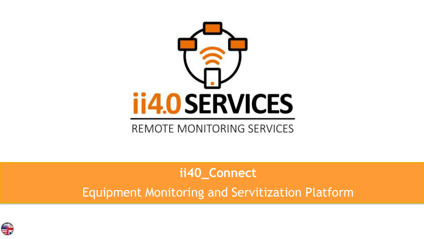

#### **ii40\_Connect**

Equipment Monitoring and Servitization Platform

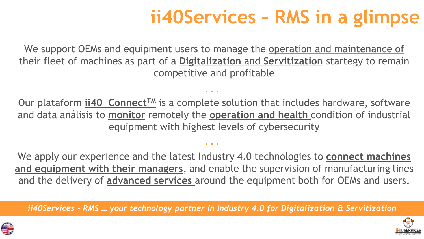## **ii40Services – RMS in a glimpse**

We support OEMs and equipment users to manage the operation and maintenance of their fleet of machines as part of a **Digitalization** and **Servitization** startegy to remain competitive and profitable

Our plataform *ii40\_Connect<sup>™</sup>* is a complete solution that includes hardware, software and data análisis to **monitor** remotely the **operation and health** condition of industrial equipment with highest levels of cybersecurity

**. . .**

**. . .**

We apply our experience and the latest Industry 4.0 technologies to **connect machines and equipment with their managers**, and enable the supervision of manufacturing lines and the delivery of **advanced services** around the equipment both for OEMs and users.

*ii40Services - RMS … your technology partner in Industry 4.0 for Digitalization & Servitization*



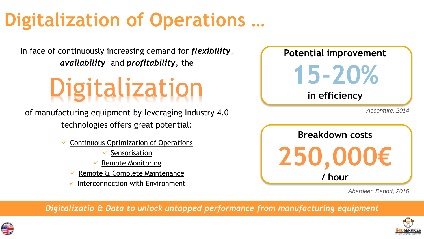# **Digitalization of Operations …**

In face of continuously increasing demand for *flexibility*, *availability* and *profitability*, the

# **Digitalization**

of manufacturing equipment by leveraging Industry 4.0 technologies offers great potential:

- ✓ Continuous Optimization of Operations
	- Sensorisation
	- $\checkmark$  Remote Monitoring
	- Remote & Complete Maintenance
	- Interconnection with Environment



**250,000€ / hour**

*Aberdeen Report, 2016*

*Digitalizatio & Data to unlock untapped performance from manufacturing equipment*



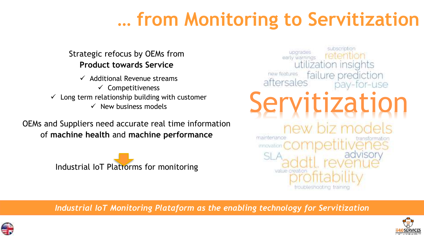### **… from Monitoring to Servitization**

#### Strategic refocus by OEMs from **Product towards Service**

 $\checkmark$  Additional Revenue streams  $\checkmark$  Competitiveness  $\checkmark$  Long term relationship building with customer  $\checkmark$  New business models

OEMs and Suppliers need accurate real time information of **machine health** and **machine performance**





*Industrial IoT Monitoring Plataform as the enabling technology for Servitization*



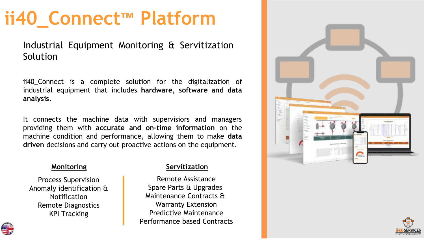#### **ii40\_Connect™ Platform**

Industrial Equipment Monitoring & Servitization Solution

ii40 Connect is a complete solution for the digitalization of industrial equipment that includes **hardware, software and data analysis.**

It connects the machine data with supervisiors and managers providing them with **accurate and on-time information** on the machine condition and performance, allowing them to make **data driven** decisions and carry out proactive actions on the equipment.

Process Supervision Anomaly identification & Notification Remote Diagnostics KPI Tracking

#### **Monitoring Servitization**

Remote Assistance Spare Parts & Upgrades Maintenance Contracts & Warranty Extension Predictive Maintenance Performance based Contracts





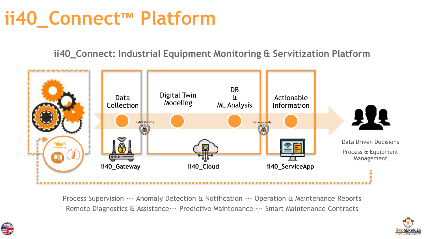### **ii40\_Connect™ Platform**

**ii40\_Connect: Industrial Equipment Monitoring & Servitization Platform**



Process Supervision  $\cdots$  Anomaly Detection & Notification  $\cdots$  Operation & Maintenance Reports Remote Diagnostics & Assistance··· Predictive Maintenance ··· Smart Maintenance Contracts



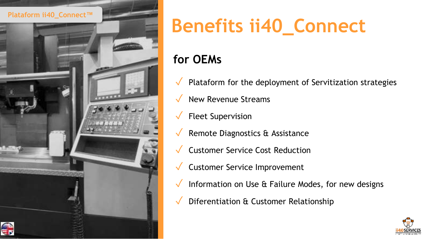

# **Benefits ii40\_Connect**

#### **for OEMs**

- $\sqrt{\phantom{a}}$  Plataform for the deployment of Servitization strategies
- ✓ New Revenue Streams
- $\sqrt{\phantom{a}}$  Fleet Supervision
- $\sqrt{\ }$  Remote Diagnostics & Assistance
- ✓ Customer Service Cost Reduction
- ✓ Customer Service Improvement
- $\sqrt{\phantom{a}}$  Information on Use & Failure Modes, for new designs
- Diferentiation & Customer Relationship

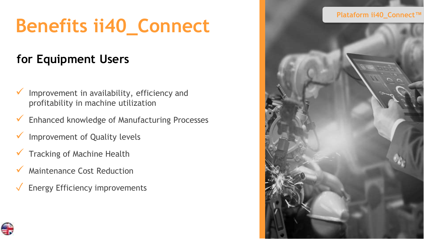# **Benefits ii40\_Connect**

#### **for Equipment Users**

- Improvement in availability, efficiency and profitability in machine utilization
- ✓ Enhanced knowledge of Manufacturing Processes
- Improvement of Quality levels
- Tracking of Machine Health
- Maintenance Cost Reduction
- Energy Efficiency improvements



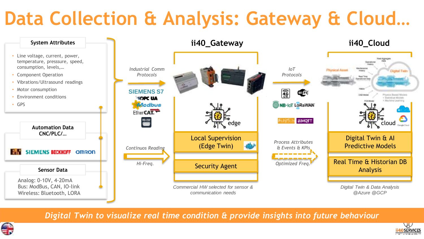### **Data Collection & Analysis: Gateway & Cloud…**



*Digital Twin to visualize real time condition & provide insights into future behaviour*



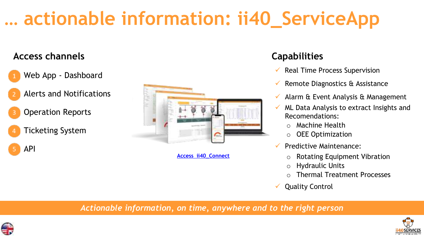## **… actionable information: ii40\_ServiceApp**

#### **Access channels Capabilities**



- 2. Alerts and Notifications
- **Operation Reports**
- 4. Ticketing System

5. API



**[Access ii40\\_Connect](http://connect.ii40services.com/)**

- $\checkmark$  Real Time Process Supervision
- $\checkmark$  Remote Diagnostics & Assistance
- $\checkmark$  Alarm & Event Analysis & Management
- $\checkmark$  ML Data Analysis to extract Insights and Recomendations:
	- o Machine Health
	- $\circ$  OEE Optimization
- ✓ Predictive Maintenance:
	- o Rotating Equipment Vibration
	- o Hydraulic Units
	- Thermal Treatment Processes
- ✓ Quality Control

*Actionable information, on time, anywhere and to the right person*



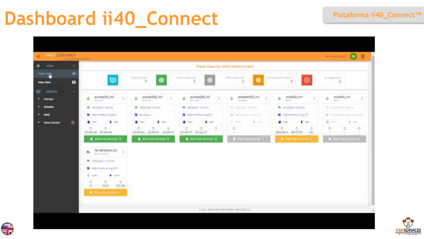#### **Dashboard ii40\_Connect Plataforma ii40\_Connect™**





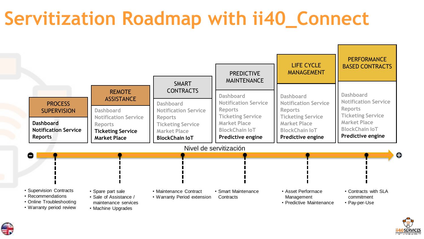### **Servitization Roadmap with ii40\_Connect**





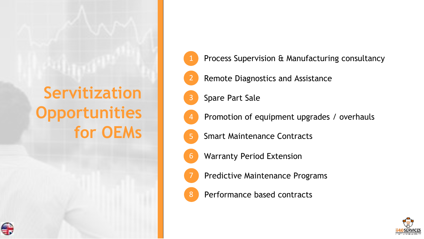#### **Servitization Opportunities for OEMs**

- Process Supervision & Manufacturing consultancy
- Remote Diagnostics and Assistance
- Spare Part Sale

2

3

4

6

- Promotion of equipment upgrades / overhauls
- 5 Smart Maintenance Contracts
- Warranty Period Extension
- Predictive Maintenance Programs
- Performance based contracts